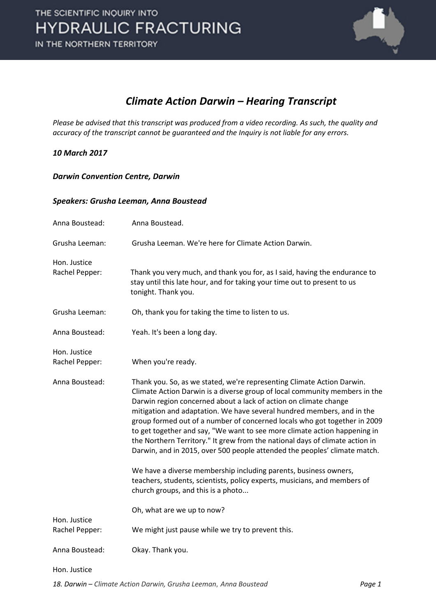

#### *Climate Action Darwin – Hearing Transcript*

*Please be advised that this transcript was produced from a video recording. As such, the quality and accuracy of the transcript cannot be guaranteed and the Inquiry is not liable for any errors.*

#### *10 March 2017*

#### *Darwin Convention Centre, Darwin*

#### *Speakers: Grusha Leeman, Anna Boustead*

| Anna Boustead:                 | Anna Boustead.                                                                                                                                                                                                                                                                                                                                                                                                                                                                                                                                                                                                            |
|--------------------------------|---------------------------------------------------------------------------------------------------------------------------------------------------------------------------------------------------------------------------------------------------------------------------------------------------------------------------------------------------------------------------------------------------------------------------------------------------------------------------------------------------------------------------------------------------------------------------------------------------------------------------|
| Grusha Leeman:                 | Grusha Leeman. We're here for Climate Action Darwin.                                                                                                                                                                                                                                                                                                                                                                                                                                                                                                                                                                      |
| Hon. Justice<br>Rachel Pepper: | Thank you very much, and thank you for, as I said, having the endurance to<br>stay until this late hour, and for taking your time out to present to us<br>tonight. Thank you.                                                                                                                                                                                                                                                                                                                                                                                                                                             |
| Grusha Leeman:                 | Oh, thank you for taking the time to listen to us.                                                                                                                                                                                                                                                                                                                                                                                                                                                                                                                                                                        |
| Anna Boustead:                 | Yeah. It's been a long day.                                                                                                                                                                                                                                                                                                                                                                                                                                                                                                                                                                                               |
| Hon. Justice                   |                                                                                                                                                                                                                                                                                                                                                                                                                                                                                                                                                                                                                           |
| Rachel Pepper:                 | When you're ready.                                                                                                                                                                                                                                                                                                                                                                                                                                                                                                                                                                                                        |
| Anna Boustead:                 | Thank you. So, as we stated, we're representing Climate Action Darwin.<br>Climate Action Darwin is a diverse group of local community members in the<br>Darwin region concerned about a lack of action on climate change<br>mitigation and adaptation. We have several hundred members, and in the<br>group formed out of a number of concerned locals who got together in 2009<br>to get together and say, "We want to see more climate action happening in<br>the Northern Territory." It grew from the national days of climate action in<br>Darwin, and in 2015, over 500 people attended the peoples' climate match. |
|                                | We have a diverse membership including parents, business owners,<br>teachers, students, scientists, policy experts, musicians, and members of<br>church groups, and this is a photo                                                                                                                                                                                                                                                                                                                                                                                                                                       |
| Hon. Justice                   | Oh, what are we up to now?                                                                                                                                                                                                                                                                                                                                                                                                                                                                                                                                                                                                |
| Rachel Pepper:                 | We might just pause while we try to prevent this.                                                                                                                                                                                                                                                                                                                                                                                                                                                                                                                                                                         |
| Anna Boustead:                 | Okay. Thank you.                                                                                                                                                                                                                                                                                                                                                                                                                                                                                                                                                                                                          |
| Hon. Justice                   |                                                                                                                                                                                                                                                                                                                                                                                                                                                                                                                                                                                                                           |
|                                |                                                                                                                                                                                                                                                                                                                                                                                                                                                                                                                                                                                                                           |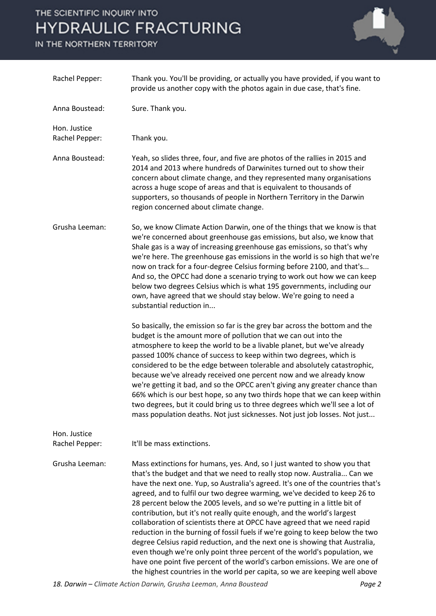IN THE NORTHERN TERRITORY



| Rachel Pepper:                 | Thank you. You'll be providing, or actually you have provided, if you want to<br>provide us another copy with the photos again in due case, that's fine.                                                                                                                                                                                                                                                                                                                                                                                                                                                                                                                                                                                                                                                                                                                                                                                                         |
|--------------------------------|------------------------------------------------------------------------------------------------------------------------------------------------------------------------------------------------------------------------------------------------------------------------------------------------------------------------------------------------------------------------------------------------------------------------------------------------------------------------------------------------------------------------------------------------------------------------------------------------------------------------------------------------------------------------------------------------------------------------------------------------------------------------------------------------------------------------------------------------------------------------------------------------------------------------------------------------------------------|
| Anna Boustead:                 | Sure. Thank you.                                                                                                                                                                                                                                                                                                                                                                                                                                                                                                                                                                                                                                                                                                                                                                                                                                                                                                                                                 |
| Hon. Justice<br>Rachel Pepper: | Thank you.                                                                                                                                                                                                                                                                                                                                                                                                                                                                                                                                                                                                                                                                                                                                                                                                                                                                                                                                                       |
| Anna Boustead:                 | Yeah, so slides three, four, and five are photos of the rallies in 2015 and<br>2014 and 2013 where hundreds of Darwinites turned out to show their<br>concern about climate change, and they represented many organisations<br>across a huge scope of areas and that is equivalent to thousands of<br>supporters, so thousands of people in Northern Territory in the Darwin<br>region concerned about climate change.                                                                                                                                                                                                                                                                                                                                                                                                                                                                                                                                           |
| Grusha Leeman:                 | So, we know Climate Action Darwin, one of the things that we know is that<br>we're concerned about greenhouse gas emissions, but also, we know that<br>Shale gas is a way of increasing greenhouse gas emissions, so that's why<br>we're here. The greenhouse gas emissions in the world is so high that we're<br>now on track for a four-degree Celsius forming before 2100, and that's<br>And so, the OPCC had done a scenario trying to work out how we can keep<br>below two degrees Celsius which is what 195 governments, including our<br>own, have agreed that we should stay below. We're going to need a<br>substantial reduction in                                                                                                                                                                                                                                                                                                                   |
|                                | So basically, the emission so far is the grey bar across the bottom and the<br>budget is the amount more of pollution that we can out into the<br>atmosphere to keep the world to be a livable planet, but we've already<br>passed 100% chance of success to keep within two degrees, which is<br>considered to be the edge between tolerable and absolutely catastrophic,<br>because we've already received one percent now and we already know<br>we're getting it bad, and so the OPCC aren't giving any greater chance than<br>66% which is our best hope, so any two thirds hope that we can keep within<br>two degrees, but it could bring us to three degrees which we'll see a lot of<br>mass population deaths. Not just sicknesses. Not just job losses. Not just                                                                                                                                                                                      |
| Hon. Justice<br>Rachel Pepper: | It'll be mass extinctions.                                                                                                                                                                                                                                                                                                                                                                                                                                                                                                                                                                                                                                                                                                                                                                                                                                                                                                                                       |
| Grusha Leeman:                 | Mass extinctions for humans, yes. And, so I just wanted to show you that<br>that's the budget and that we need to really stop now. Australia Can we<br>have the next one. Yup, so Australia's agreed. It's one of the countries that's<br>agreed, and to fulfil our two degree warming, we've decided to keep 26 to<br>28 percent below the 2005 levels, and so we're putting in a little bit of<br>contribution, but it's not really quite enough, and the world's largest<br>collaboration of scientists there at OPCC have agreed that we need rapid<br>reduction in the burning of fossil fuels if we're going to keep below the two<br>degree Celsius rapid reduction, and the next one is showing that Australia,<br>even though we're only point three percent of the world's population, we<br>have one point five percent of the world's carbon emissions. We are one of<br>the highest countries in the world per capita, so we are keeping well above |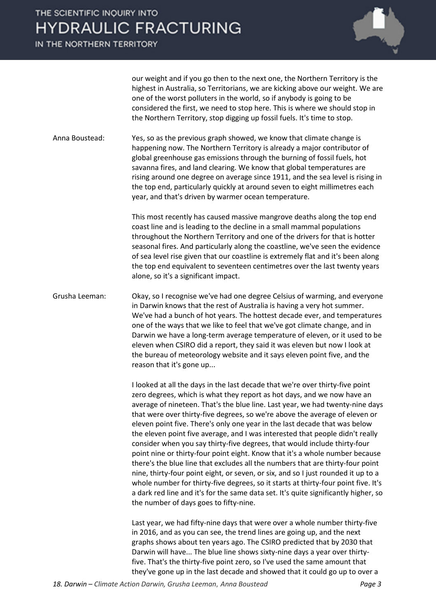IN THE NORTHERN TERRITORY



our weight and if you go then to the next one, the Northern Territory is the highest in Australia, so Territorians, we are kicking above our weight. We are one of the worst polluters in the world, so if anybody is going to be considered the first, we need to stop here. This is where we should stop in the Northern Territory, stop digging up fossil fuels. It's time to stop.

Anna Boustead: Yes, so as the previous graph showed, we know that climate change is happening now. The Northern Territory is already a major contributor of global greenhouse gas emissions through the burning of fossil fuels, hot savanna fires, and land clearing. We know that global temperatures are rising around one degree on average since 1911, and the sea level is rising in the top end, particularly quickly at around seven to eight millimetres each year, and that's driven by warmer ocean temperature.

> This most recently has caused massive mangrove deaths along the top end coast line and is leading to the decline in a small mammal populations throughout the Northern Territory and one of the drivers for that is hotter seasonal fires. And particularly along the coastline, we've seen the evidence of sea level rise given that our coastline is extremely flat and it's been along the top end equivalent to seventeen centimetres over the last twenty years alone, so it's a significant impact.

Grusha Leeman: Okay, so I recognise we've had one degree Celsius of warming, and everyone in Darwin knows that the rest of Australia is having a very hot summer. We've had a bunch of hot years. The hottest decade ever, and temperatures one of the ways that we like to feel that we've got climate change, and in Darwin we have a long-term average temperature of eleven, or it used to be eleven when CSIRO did a report, they said it was eleven but now I look at the bureau of meteorology website and it says eleven point five, and the reason that it's gone up...

> I looked at all the days in the last decade that we're over thirty-five point zero degrees, which is what they report as hot days, and we now have an average of nineteen. That's the blue line. Last year, we had twenty-nine days that were over thirty-five degrees, so we're above the average of eleven or eleven point five. There's only one year in the last decade that was below the eleven point five average, and I was interested that people didn't really consider when you say thirty-five degrees, that would include thirty-four point nine or thirty-four point eight. Know that it's a whole number because there's the blue line that excludes all the numbers that are thirty-four point nine, thirty-four point eight, or seven, or six, and so I just rounded it up to a whole number for thirty-five degrees, so it starts at thirty-four point five. It's a dark red line and it's for the same data set. It's quite significantly higher, so the number of days goes to fifty-nine.

Last year, we had fifty-nine days that were over a whole number thirty-five in 2016, and as you can see, the trend lines are going up, and the next graphs shows about ten years ago. The CSIRO predicted that by 2030 that Darwin will have... The blue line shows sixty-nine days a year over thirtyfive. That's the thirty-five point zero, so I've used the same amount that they've gone up in the last decade and showed that it could go up to over a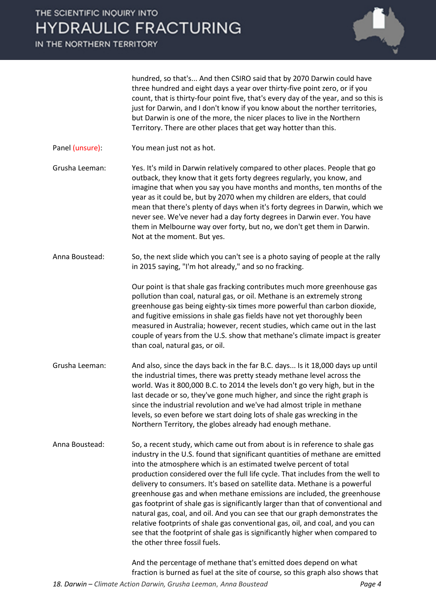IN THE NORTHERN TERRITORY



hundred, so that's... And then CSIRO said that by 2070 Darwin could have three hundred and eight days a year over thirty-five point zero, or if you count, that is thirty-four point five, that's every day of the year, and so this is just for Darwin, and I don't know if you know about the norther territories, but Darwin is one of the more, the nicer places to live in the Northern Territory. There are other places that get way hotter than this.

Panel (unsure): You mean just not as hot.

Grusha Leeman: Yes. It's mild in Darwin relatively compared to other places. People that go outback, they know that it gets forty degrees regularly, you know, and imagine that when you say you have months and months, ten months of the year as it could be, but by 2070 when my children are elders, that could mean that there's plenty of days when it's forty degrees in Darwin, which we never see. We've never had a day forty degrees in Darwin ever. You have them in Melbourne way over forty, but no, we don't get them in Darwin. Not at the moment. But yes.

Anna Boustead: So, the next slide which you can't see is a photo saying of people at the rally in 2015 saying, "I'm hot already," and so no fracking.

> Our point is that shale gas fracking contributes much more greenhouse gas pollution than coal, natural gas, or oil. Methane is an extremely strong greenhouse gas being eighty-six times more powerful than carbon dioxide, and fugitive emissions in shale gas fields have not yet thoroughly been measured in Australia; however, recent studies, which came out in the last couple of years from the U.S. show that methane's climate impact is greater than coal, natural gas, or oil.

- Grusha Leeman: And also, since the days back in the far B.C. days... Is it 18,000 days up until the industrial times, there was pretty steady methane level across the world. Was it 800,000 B.C. to 2014 the levels don't go very high, but in the last decade or so, they've gone much higher, and since the right graph is since the industrial revolution and we've had almost triple in methane levels, so even before we start doing lots of shale gas wrecking in the Northern Territory, the globes already had enough methane.
- Anna Boustead: So, a recent study, which came out from about is in reference to shale gas industry in the U.S. found that significant quantities of methane are emitted into the atmosphere which is an estimated twelve percent of total production considered over the full life cycle. That includes from the well to delivery to consumers. It's based on satellite data. Methane is a powerful greenhouse gas and when methane emissions are included, the greenhouse gas footprint of shale gas is significantly larger than that of conventional and natural gas, coal, and oil. And you can see that our graph demonstrates the relative footprints of shale gas conventional gas, oil, and coal, and you can see that the footprint of shale gas is significantly higher when compared to the other three fossil fuels.

*18. Darwin – Climate Action Darwin, Grusha Leeman, Anna Boustead Page 4* And the percentage of methane that's emitted does depend on what fraction is burned as fuel at the site of course, so this graph also shows that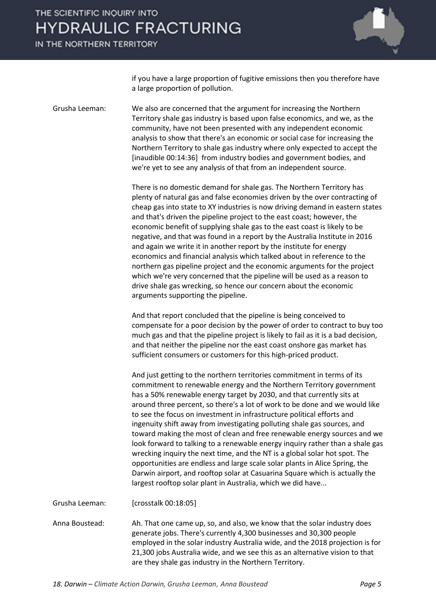IN THE NORTHERN TERRITORY



if you have a large proportion of fugitive emissions then you therefore have a large proportion of pollution.

Grusha Leeman: We also are concerned that the argument for increasing the Northern Territory shale gas industry is based upon false economics, and we, as the community, have not been presented with any independent economic analysis to show that there's an economic or social case for increasing the Northern Territory to shale gas industry where only expected to accept the [inaudible 00:14:36] from industry bodies and government bodies, and we're yet to see any analysis of that from an independent source.

> There is no domestic demand for shale gas. The Northern Territory has plenty of natural gas and false economies driven by the over contracting of cheap gas into state to XY industries is now driving demand in eastern states and that's driven the pipeline project to the east coast; however, the economic benefit of supplying shale gas to the east coast is likely to be negative, and that was found in a report by the Australia Institute in 2016 and again we write it in another report by the institute for energy economics and financial analysis which talked about in reference to the northern gas pipeline project and the economic arguments for the project which we're very concerned that the pipeline will be used as a reason to drive shale gas wrecking, so hence our concern about the economic arguments supporting the pipeline.

> And that report concluded that the pipeline is being conceived to compensate for a poor decision by the power of order to contract to buy too much gas and that the pipeline project is likely to fail as it is a bad decision, and that neither the pipeline nor the east coast onshore gas market has sufficient consumers or customers for this high-priced product.

> And just getting to the northern territories commitment in terms of its commitment to renewable energy and the Northern Territory government has a 50% renewable energy target by 2030, and that currently sits at around three percent, so there's a lot of work to be done and we would like to see the focus on investment in infrastructure political efforts and ingenuity shift away from investigating polluting shale gas sources, and toward making the most of clean and free renewable energy sources and we look forward to talking to a renewable energy inquiry rather than a shale gas wrecking inquiry the next time, and the NT is a global solar hot spot. The opportunities are endless and large scale solar plants in Alice Spring, the Darwin airport, and rooftop solar at Casuarina Square which is actually the largest rooftop solar plant in Australia, which we did have...

Grusha Leeman: [crosstalk 00:18:05]

Anna Boustead: Ah. That one came up, so, and also, we know that the solar industry does generate jobs. There's currently 4,300 businesses and 30,300 people employed in the solar industry Australia wide, and the 2018 projection is for 21,300 jobs Australia wide, and we see this as an alternative vision to that are they shale gas industry in the Northern Territory.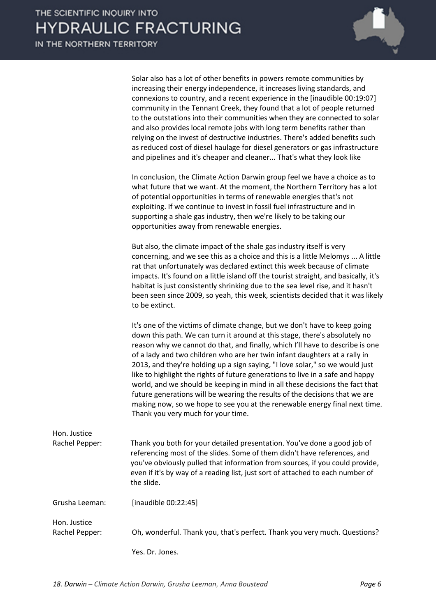|                                | Solar also has a lot of other benefits in powers remote communities by<br>increasing their energy independence, it increases living standards, and<br>connexions to country, and a recent experience in the [inaudible 00:19:07]<br>community in the Tennant Creek, they found that a lot of people returned<br>to the outstations into their communities when they are connected to solar<br>and also provides local remote jobs with long term benefits rather than<br>relying on the invest of destructive industries. There's added benefits such<br>as reduced cost of diesel haulage for diesel generators or gas infrastructure<br>and pipelines and it's cheaper and cleaner That's what they look like                                                              |
|--------------------------------|------------------------------------------------------------------------------------------------------------------------------------------------------------------------------------------------------------------------------------------------------------------------------------------------------------------------------------------------------------------------------------------------------------------------------------------------------------------------------------------------------------------------------------------------------------------------------------------------------------------------------------------------------------------------------------------------------------------------------------------------------------------------------|
|                                | In conclusion, the Climate Action Darwin group feel we have a choice as to<br>what future that we want. At the moment, the Northern Territory has a lot<br>of potential opportunities in terms of renewable energies that's not<br>exploiting. If we continue to invest in fossil fuel infrastructure and in<br>supporting a shale gas industry, then we're likely to be taking our<br>opportunities away from renewable energies.                                                                                                                                                                                                                                                                                                                                           |
|                                | But also, the climate impact of the shale gas industry itself is very<br>concerning, and we see this as a choice and this is a little Melomys  A little<br>rat that unfortunately was declared extinct this week because of climate<br>impacts. It's found on a little island off the tourist straight, and basically, it's<br>habitat is just consistently shrinking due to the sea level rise, and it hasn't<br>been seen since 2009, so yeah, this week, scientists decided that it was likely<br>to be extinct.                                                                                                                                                                                                                                                          |
|                                | It's one of the victims of climate change, but we don't have to keep going<br>down this path. We can turn it around at this stage, there's absolutely no<br>reason why we cannot do that, and finally, which I'll have to describe is one<br>of a lady and two children who are her twin infant daughters at a rally in<br>2013, and they're holding up a sign saying, "I love solar," so we would just<br>like to highlight the rights of future generations to live in a safe and happy<br>world, and we should be keeping in mind in all these decisions the fact that<br>future generations will be wearing the results of the decisions that we are<br>making now, so we hope to see you at the renewable energy final next time.<br>Thank you very much for your time. |
| Hon. Justice<br>Rachel Pepper: | Thank you both for your detailed presentation. You've done a good job of<br>referencing most of the slides. Some of them didn't have references, and<br>you've obviously pulled that information from sources, if you could provide,<br>even if it's by way of a reading list, just sort of attached to each number of<br>the slide.                                                                                                                                                                                                                                                                                                                                                                                                                                         |
| Grusha Leeman:                 | [inaudible 00:22:45]                                                                                                                                                                                                                                                                                                                                                                                                                                                                                                                                                                                                                                                                                                                                                         |
| Hon. Justice<br>Rachel Pepper: | Oh, wonderful. Thank you, that's perfect. Thank you very much. Questions?                                                                                                                                                                                                                                                                                                                                                                                                                                                                                                                                                                                                                                                                                                    |
|                                | Yes. Dr. Jones.                                                                                                                                                                                                                                                                                                                                                                                                                                                                                                                                                                                                                                                                                                                                                              |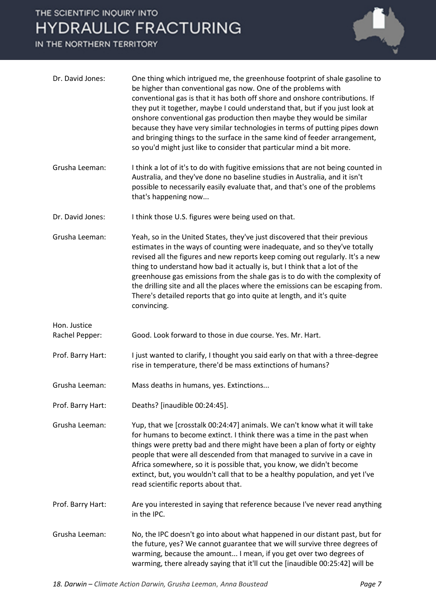IN THE NORTHERN TERRITORY



| Dr. David Jones:               | One thing which intrigued me, the greenhouse footprint of shale gasoline to<br>be higher than conventional gas now. One of the problems with<br>conventional gas is that it has both off shore and onshore contributions. If<br>they put it together, maybe I could understand that, but if you just look at<br>onshore conventional gas production then maybe they would be similar<br>because they have very similar technologies in terms of putting pipes down<br>and bringing things to the surface in the same kind of feeder arrangement,<br>so you'd might just like to consider that particular mind a bit more. |
|--------------------------------|---------------------------------------------------------------------------------------------------------------------------------------------------------------------------------------------------------------------------------------------------------------------------------------------------------------------------------------------------------------------------------------------------------------------------------------------------------------------------------------------------------------------------------------------------------------------------------------------------------------------------|
| Grusha Leeman:                 | I think a lot of it's to do with fugitive emissions that are not being counted in<br>Australia, and they've done no baseline studies in Australia, and it isn't<br>possible to necessarily easily evaluate that, and that's one of the problems<br>that's happening now                                                                                                                                                                                                                                                                                                                                                   |
| Dr. David Jones:               | I think those U.S. figures were being used on that.                                                                                                                                                                                                                                                                                                                                                                                                                                                                                                                                                                       |
| Grusha Leeman:                 | Yeah, so in the United States, they've just discovered that their previous<br>estimates in the ways of counting were inadequate, and so they've totally<br>revised all the figures and new reports keep coming out regularly. It's a new<br>thing to understand how bad it actually is, but I think that a lot of the<br>greenhouse gas emissions from the shale gas is to do with the complexity of<br>the drilling site and all the places where the emissions can be escaping from.<br>There's detailed reports that go into quite at length, and it's quite<br>convincing.                                            |
| Hon. Justice<br>Rachel Pepper: | Good. Look forward to those in due course. Yes. Mr. Hart.                                                                                                                                                                                                                                                                                                                                                                                                                                                                                                                                                                 |
| Prof. Barry Hart:              | I just wanted to clarify, I thought you said early on that with a three-degree<br>rise in temperature, there'd be mass extinctions of humans?                                                                                                                                                                                                                                                                                                                                                                                                                                                                             |
| Grusha Leeman:                 | Mass deaths in humans, yes. Extinctions                                                                                                                                                                                                                                                                                                                                                                                                                                                                                                                                                                                   |
| Prof. Barry Hart:              | Deaths? [inaudible 00:24:45].                                                                                                                                                                                                                                                                                                                                                                                                                                                                                                                                                                                             |
| Grusha Leeman:                 | Yup, that we [crosstalk 00:24:47] animals. We can't know what it will take<br>for humans to become extinct. I think there was a time in the past when<br>things were pretty bad and there might have been a plan of forty or eighty<br>people that were all descended from that managed to survive in a cave in<br>Africa somewhere, so it is possible that, you know, we didn't become<br>extinct, but, you wouldn't call that to be a healthy population, and yet I've<br>read scientific reports about that.                                                                                                           |
| Prof. Barry Hart:              | Are you interested in saying that reference because I've never read anything<br>in the IPC.                                                                                                                                                                                                                                                                                                                                                                                                                                                                                                                               |
| Grusha Leeman:                 | No, the IPC doesn't go into about what happened in our distant past, but for<br>the future, yes? We cannot guarantee that we will survive three degrees of<br>warming, because the amount I mean, if you get over two degrees of<br>warming, there already saying that it'll cut the [inaudible 00:25:42] will be                                                                                                                                                                                                                                                                                                         |